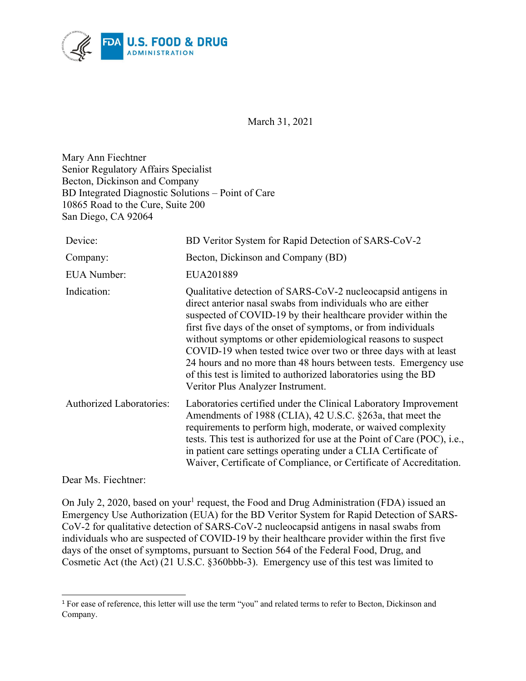

March 31, 2021

Mary Ann Fiechtner Senior Regulatory Affairs Specialist Becton, Dickinson and Company BD Integrated Diagnostic Solutions – Point of Care 10865 Road to the Cure, Suite 200 San Diego, CA 92064

| Device:                         | BD Veritor System for Rapid Detection of SARS-CoV-2                                                                                                                                                                                                                                                                                                                                                                                                                                                                                                                         |
|---------------------------------|-----------------------------------------------------------------------------------------------------------------------------------------------------------------------------------------------------------------------------------------------------------------------------------------------------------------------------------------------------------------------------------------------------------------------------------------------------------------------------------------------------------------------------------------------------------------------------|
| Company:                        | Becton, Dickinson and Company (BD)                                                                                                                                                                                                                                                                                                                                                                                                                                                                                                                                          |
| <b>EUA Number:</b>              | EUA201889                                                                                                                                                                                                                                                                                                                                                                                                                                                                                                                                                                   |
| Indication:                     | Qualitative detection of SARS-CoV-2 nucleocapsid antigens in<br>direct anterior nasal swabs from individuals who are either<br>suspected of COVID-19 by their healthcare provider within the<br>first five days of the onset of symptoms, or from individuals<br>without symptoms or other epidemiological reasons to suspect<br>COVID-19 when tested twice over two or three days with at least<br>24 hours and no more than 48 hours between tests. Emergency use<br>of this test is limited to authorized laboratories using the BD<br>Veritor Plus Analyzer Instrument. |
| <b>Authorized Laboratories:</b> | Laboratories certified under the Clinical Laboratory Improvement<br>Amendments of 1988 (CLIA), 42 U.S.C. §263a, that meet the<br>requirements to perform high, moderate, or waived complexity<br>tests. This test is authorized for use at the Point of Care (POC), i.e.,<br>in patient care settings operating under a CLIA Certificate of<br>Waiver, Certificate of Compliance, or Certificate of Accreditation.                                                                                                                                                          |

Dear Ms. Fiechtner:

On July 2, 2020, based on your<sup>[1](#page-0-0)</sup> request, the Food and Drug Administration (FDA) issued an Emergency Use Authorization (EUA) for the BD Veritor System for Rapid Detection of SARS-CoV-2 for qualitative detection of SARS-CoV-2 nucleocapsid antigens in nasal swabs from individuals who are suspected of COVID-19 by their healthcare provider within the first five days of the onset of symptoms, pursuant to Section 564 of the Federal Food, Drug, and Cosmetic Act (the Act) (21 U.S.C. §360bbb-3). Emergency use of this test was limited to

<span id="page-0-0"></span><sup>&</sup>lt;sup>1</sup> For ease of reference, this letter will use the term "you" and related terms to refer to Becton, Dickinson and Company.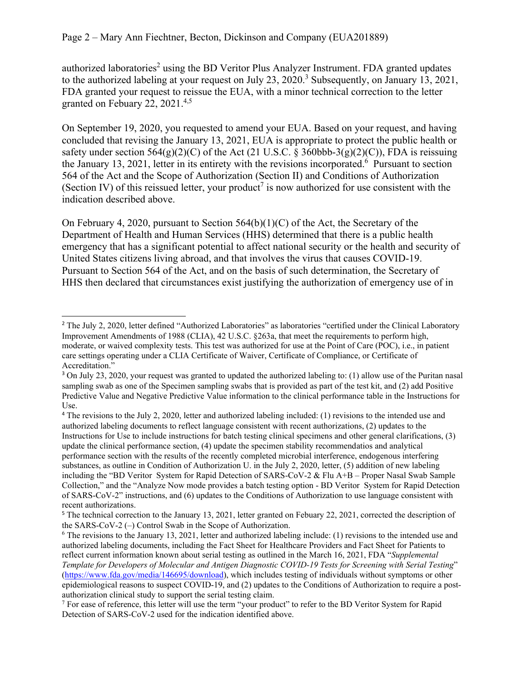authorized laboratories<sup>[2](#page-1-0)</sup> using the BD Veritor Plus Analyzer Instrument. FDA granted updates to the authorized labeling at your request on July 2[3](#page-1-1), 2020.<sup>3</sup> Subsequently, on January 13, 2021, FDA granted your request to reissue the EUA, with a minor technical correction to the letter granted on Febuary 22, 2021.<sup>[4](#page-1-2)[,5](#page-1-3)</sup>

On September 19, 2020, you requested to amend your EUA. Based on your request, and having concluded that revising the January 13, 2021, EUA is appropriate to protect the public health or safety under section  $564(g)(2)(C)$  of the Act (21 U.S.C. § 360bbb-3(g)(2)(C)), FDA is reissuing the January 13, 2021, letter in its entirety with the revisions incorporated.<sup>[6](#page-1-4)</sup> Pursuant to section 564 of the Act and the Scope of Authorization (Section II) and Conditions of Authorization (Section IV) of this reissued letter, your product<sup>[7](#page-1-5)</sup> is now authorized for use consistent with the indication described above.

On February 4, 2020, pursuant to Section  $564(b)(1)(C)$  of the Act, the Secretary of the Department of Health and Human Services (HHS) determined that there is a public health emergency that has a significant potential to affect national security or the health and security of United States citizens living abroad, and that involves the virus that causes COVID-19. Pursuant to Section 564 of the Act, and on the basis of such determination, the Secretary of HHS then declared that circumstances exist justifying the authorization of emergency use of in

<span id="page-1-0"></span><sup>&</sup>lt;sup>2</sup> The July 2, 2020, letter defined "Authorized Laboratories" as laboratories "certified under the Clinical Laboratory Improvement Amendments of 1988 (CLIA), 42 U.S.C. §263a, that meet the requirements to perform high, moderate, or waived complexity tests. This test was authorized for use at the Point of Care (POC), i.e., in patient care settings operating under a CLIA Certificate of Waiver, Certificate of Compliance, or Certificate of Accreditation."

<span id="page-1-1"></span><sup>&</sup>lt;sup>3</sup> On July 23, 2020, your request was granted to updated the authorized labeling to: (1) allow use of the Puritan nasal sampling swab as one of the Specimen sampling swabs that is provided as part of the test kit, and (2) add Positive Predictive Value and Negative Predictive Value information to the clinical performance table in the Instructions for Use.

<span id="page-1-2"></span><sup>4</sup> The revisions to the July 2, 2020, letter and authorized labeling included: (1) revisions to the intended use and authorized labeling documents to reflect language consistent with recent authorizations, (2) updates to the Instructions for Use to include instructions for batch testing clinical specimens and other general clarifications, (3) update the clinical performance section, (4) update the specimen stability recommendatios and analytical performance section with the results of the recently completed microbial interference, endogenous interfering substances, as outline in Condition of Authorization U. in the July 2, 2020, letter, (5) addition of new labeling including the "BD Veritor System for Rapid Detection of SARS-CoV-2 & Flu A+B – Proper Nasal Swab Sample Collection," and the "Analyze Now mode provides a batch testing option - BD Veritor System for Rapid Detection of SARS-CoV-2" instructions, and (6) updates to the Conditions of Authorization to use language consistent with recent authorizations.

<span id="page-1-3"></span><sup>5</sup> The technical correction to the January 13, 2021, letter granted on Febuary 22, 2021, corrected the description of the SARS-CoV-2 (–) Control Swab in the Scope of Authorization.

<span id="page-1-4"></span><sup>6</sup> The revisions to the January 13, 2021, letter and authorized labeling include: (1) revisions to the intended use and authorized labeling documents, including the Fact Sheet for Healthcare Providers and Fact Sheet for Patients to reflect current information known about serial testing as outlined in the March 16, 2021, FDA "*Supplemental Template for Developers of Molecular and Antigen Diagnostic COVID-19 Tests for Screening with Serial Testing*" [\(https://www.fda.gov/media/146695/download\)](https://www.fda.gov/media/146695/download), which includes testing of individuals without symptoms or other epidemiological reasons to suspect COVID-19, and (2) updates to the Conditions of Authorization to require a postauthorization clinical study to support the serial testing claim.

<span id="page-1-5"></span><sup>&</sup>lt;sup>7</sup> For ease of reference, this letter will use the term "your product" to refer to the BD Veritor System for Rapid Detection of SARS-CoV-2 used for the indication identified above.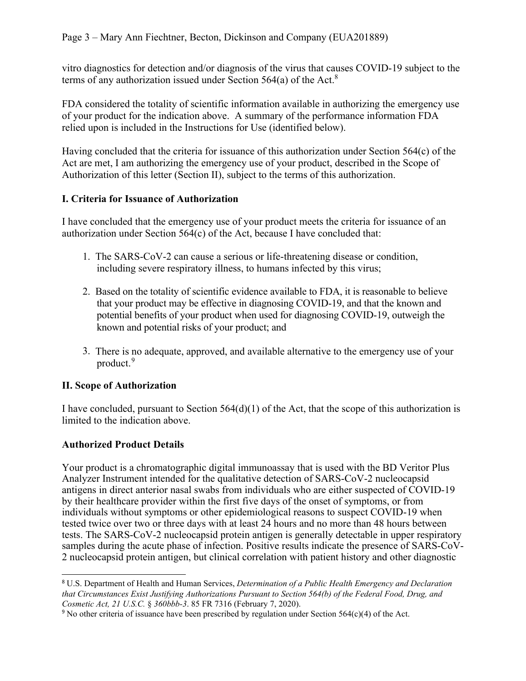vitro diagnostics for detection and/or diagnosis of the virus that causes COVID-19 subject to the terms of any authorization issued under Section  $564(a)$  of the Act.<sup>[8](#page-2-0)</sup>

FDA considered the totality of scientific information available in authorizing the emergency use of your product for the indication above. A summary of the performance information FDA relied upon is included in the Instructions for Use (identified below).

Having concluded that the criteria for issuance of this authorization under Section 564(c) of the Act are met, I am authorizing the emergency use of your product, described in the Scope of Authorization of this letter (Section II), subject to the terms of this authorization.

## **I. Criteria for Issuance of Authorization**

I have concluded that the emergency use of your product meets the criteria for issuance of an authorization under Section 564(c) of the Act, because I have concluded that:

- 1. The SARS-CoV-2 can cause a serious or life-threatening disease or condition, including severe respiratory illness, to humans infected by this virus;
- 2. Based on the totality of scientific evidence available to FDA, it is reasonable to believe that your product may be effective in diagnosing COVID-19, and that the known and potential benefits of your product when used for diagnosing COVID-19, outweigh the known and potential risks of your product; and
- 3. There is no adequate, approved, and available alternative to the emergency use of your product. [9](#page-2-1)

## **II. Scope of Authorization**

I have concluded, pursuant to Section  $564(d)(1)$  of the Act, that the scope of this authorization is limited to the indication above.

## **Authorized Product Details**

Your product is a chromatographic digital immunoassay that is used with the BD Veritor Plus Analyzer Instrument intended for the qualitative detection of SARS-CoV-2 nucleocapsid antigens in direct anterior nasal swabs from individuals who are either suspected of COVID-19 by their healthcare provider within the first five days of the onset of symptoms, or from individuals without symptoms or other epidemiological reasons to suspect COVID-19 when tested twice over two or three days with at least 24 hours and no more than 48 hours between tests. The SARS-CoV-2 nucleocapsid protein antigen is generally detectable in upper respiratory samples during the acute phase of infection. Positive results indicate the presence of SARS-CoV-2 nucleocapsid protein antigen, but clinical correlation with patient history and other diagnostic

<span id="page-2-0"></span><sup>8</sup> U.S. Department of Health and Human Services, *Determination of a Public Health Emergency and Declaration that Circumstances Exist Justifying Authorizations Pursuant to Section 564(b) of the Federal Food, Drug, and Cosmetic Act, 21 U.S.C.* § *360bbb-3*. 85 FR 7316 (February 7, 2020).

<span id="page-2-1"></span><sup>9</sup> No other criteria of issuance have been prescribed by regulation under Section 564(c)(4) of the Act.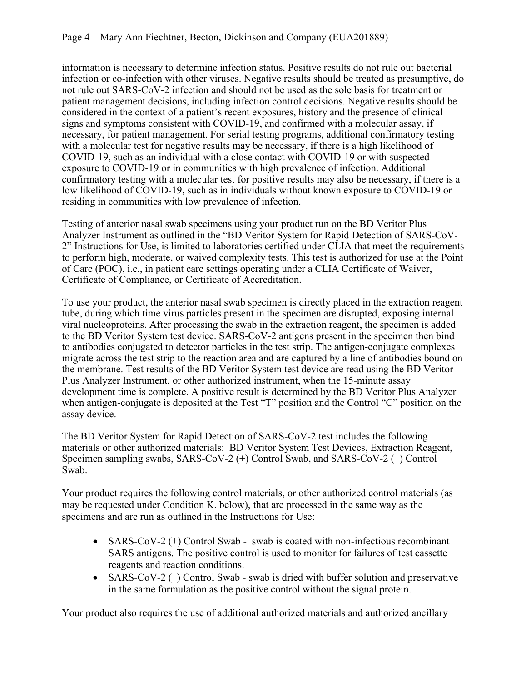information is necessary to determine infection status. Positive results do not rule out bacterial infection or co-infection with other viruses. Negative results should be treated as presumptive, do not rule out SARS-CoV-2 infection and should not be used as the sole basis for treatment or patient management decisions, including infection control decisions. Negative results should be considered in the context of a patient's recent exposures, history and the presence of clinical signs and symptoms consistent with COVID-19, and confirmed with a molecular assay, if necessary, for patient management. For serial testing programs, additional confirmatory testing with a molecular test for negative results may be necessary, if there is a high likelihood of COVID-19, such as an individual with a close contact with COVID-19 or with suspected exposure to COVID-19 or in communities with high prevalence of infection. Additional confirmatory testing with a molecular test for positive results may also be necessary, if there is a low likelihood of COVID-19, such as in individuals without known exposure to COVID-19 or residing in communities with low prevalence of infection.

Testing of anterior nasal swab specimens using your product run on the BD Veritor Plus Analyzer Instrument as outlined in the "BD Veritor System for Rapid Detection of SARS-CoV-2" Instructions for Use, is limited to laboratories certified under CLIA that meet the requirements to perform high, moderate, or waived complexity tests. This test is authorized for use at the Point of Care (POC), i.e., in patient care settings operating under a CLIA Certificate of Waiver, Certificate of Compliance, or Certificate of Accreditation.

To use your product, the anterior nasal swab specimen is directly placed in the extraction reagent tube, during which time virus particles present in the specimen are disrupted, exposing internal viral nucleoproteins. After processing the swab in the extraction reagent, the specimen is added to the BD Veritor System test device. SARS-CoV-2 antigens present in the specimen then bind to antibodies conjugated to detector particles in the test strip. The antigen-conjugate complexes migrate across the test strip to the reaction area and are captured by a line of antibodies bound on the membrane. Test results of the BD Veritor System test device are read using the BD Veritor Plus Analyzer Instrument, or other authorized instrument, when the 15-minute assay development time is complete. A positive result is determined by the BD Veritor Plus Analyzer when antigen-conjugate is deposited at the Test "T" position and the Control "C" position on the assay device.

The BD Veritor System for Rapid Detection of SARS-CoV-2 test includes the following materials or other authorized materials: BD Veritor System Test Devices, Extraction Reagent, Specimen sampling swabs, SARS-CoV-2 (+) Control Swab, and SARS-CoV-2 (–) Control Swab.

Your product requires the following control materials, or other authorized control materials (as may be requested under Condition K. below), that are processed in the same way as the specimens and are run as outlined in the Instructions for Use:

- SARS-CoV-2  $(+)$  Control Swab swab is coated with non-infectious recombinant SARS antigens. The positive control is used to monitor for failures of test cassette reagents and reaction conditions.
- SARS-CoV-2  $(-)$  Control Swab swab is dried with buffer solution and preservative in the same formulation as the positive control without the signal protein.

Your product also requires the use of additional authorized materials and authorized ancillary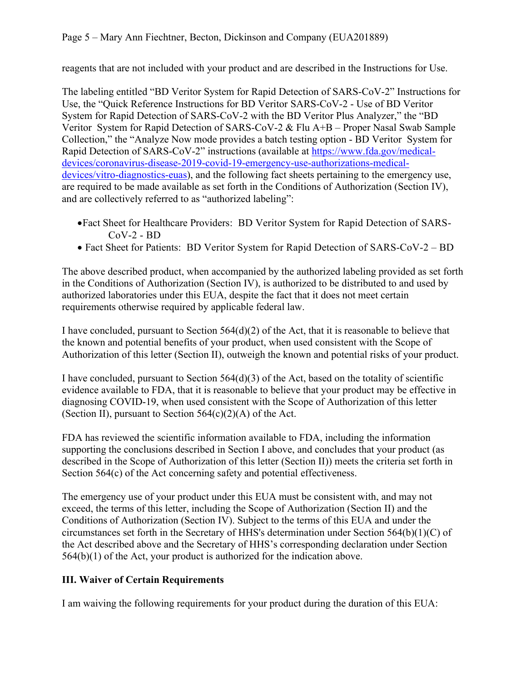reagents that are not included with your product and are described in the Instructions for Use.

The labeling entitled "BD Veritor System for Rapid Detection of SARS-CoV-2" Instructions for Use, the "Quick Reference Instructions for BD Veritor SARS-CoV-2 - Use of BD Veritor System for Rapid Detection of SARS-CoV-2 with the BD Veritor Plus Analyzer," the "BD Veritor System for Rapid Detection of SARS-CoV-2 & Flu A+B – Proper Nasal Swab Sample Collection," the "Analyze Now mode provides a batch testing option - BD Veritor System for Rapid Detection of SARS-CoV-2" instructions (available at [https://www.fda.gov/medical](https://www.fda.gov/medical-devices/coronavirus-disease-2019-covid-19-emergency-use-authorizations-medical-devices/vitro-diagnostics-euas)[devices/coronavirus-disease-2019-covid-19-emergency-use-authorizations-medical](https://www.fda.gov/medical-devices/coronavirus-disease-2019-covid-19-emergency-use-authorizations-medical-devices/vitro-diagnostics-euas)[devices/vitro-diagnostics-euas](https://www.fda.gov/medical-devices/coronavirus-disease-2019-covid-19-emergency-use-authorizations-medical-devices/vitro-diagnostics-euas)), and the following fact sheets pertaining to the emergency use, are required to be made available as set forth in the Conditions of Authorization (Section IV), and are collectively referred to as "authorized labeling":

- ·Fact Sheet for Healthcare Providers: BD Veritor System for Rapid Detection of SARS-CoV-2 - BD
- Fact Sheet for Patients: BD Veritor System for Rapid Detection of SARS-CoV-2 BD

The above described product, when accompanied by the authorized labeling provided as set forth in the Conditions of Authorization (Section IV), is authorized to be distributed to and used by authorized laboratories under this EUA, despite the fact that it does not meet certain requirements otherwise required by applicable federal law.

I have concluded, pursuant to Section  $564(d)(2)$  of the Act, that it is reasonable to believe that the known and potential benefits of your product, when used consistent with the Scope of Authorization of this letter (Section II), outweigh the known and potential risks of your product.

I have concluded, pursuant to Section 564(d)(3) of the Act, based on the totality of scientific evidence available to FDA, that it is reasonable to believe that your product may be effective in diagnosing COVID-19, when used consistent with the Scope of Authorization of this letter (Section II), pursuant to Section  $564(c)(2)(A)$  of the Act.

FDA has reviewed the scientific information available to FDA, including the information supporting the conclusions described in Section I above, and concludes that your product (as described in the Scope of Authorization of this letter (Section II)) meets the criteria set forth in Section 564(c) of the Act concerning safety and potential effectiveness.

The emergency use of your product under this EUA must be consistent with, and may not exceed, the terms of this letter, including the Scope of Authorization (Section II) and the Conditions of Authorization (Section IV). Subject to the terms of this EUA and under the circumstances set forth in the Secretary of HHS's determination under Section 564(b)(1)(C) of the Act described above and the Secretary of HHS's corresponding declaration under Section 564(b)(1) of the Act, your product is authorized for the indication above.

# **III. Waiver of Certain Requirements**

I am waiving the following requirements for your product during the duration of this EUA: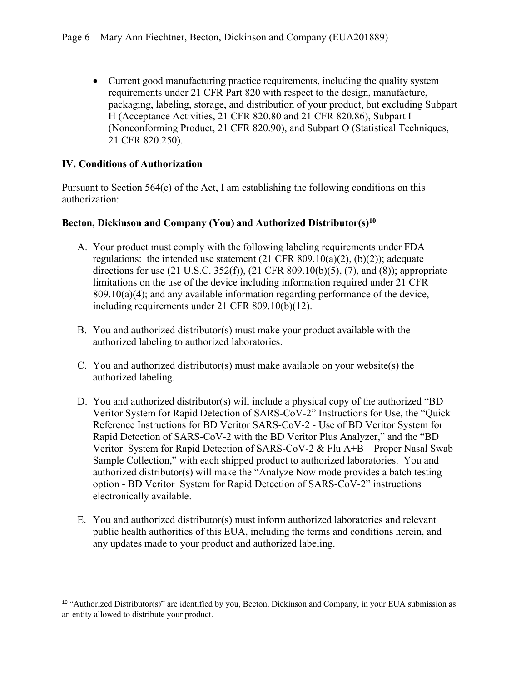• Current good manufacturing practice requirements, including the quality system requirements under 21 CFR Part 820 with respect to the design, manufacture, packaging, labeling, storage, and distribution of your product, but excluding Subpart H (Acceptance Activities, 21 CFR 820.80 and 21 CFR 820.86), Subpart I (Nonconforming Product, 21 CFR 820.90), and Subpart O (Statistical Techniques, 21 CFR 820.250).

### **IV. Conditions of Authorization**

Pursuant to Section  $564(e)$  of the Act, I am establishing the following conditions on this authorization:

#### **Becton, Dickinson and Company (You) and Authorized Distributor(s)[10](#page-5-0)**

- A. Your product must comply with the following labeling requirements under FDA regulations: the intended use statement  $(21 \text{ CFR } 809.10(a)(2), (b)(2))$ ; adequate directions for use (21 U.S.C. 352(f)), (21 CFR 809.10(b)(5), (7), and (8)); appropriate limitations on the use of the device including information required under 21 CFR  $809.10(a)(4)$ ; and any available information regarding performance of the device, including requirements under 21 CFR 809.10(b)(12).
- B. You and authorized distributor(s) must make your product available with the authorized labeling to authorized laboratories.
- C. You and authorized distributor(s) must make available on your website(s) the authorized labeling.
- D. You and authorized distributor(s) will include a physical copy of the authorized "BD Veritor System for Rapid Detection of SARS-CoV-2" Instructions for Use, the "Quick Reference Instructions for BD Veritor SARS-CoV-2 - Use of BD Veritor System for Rapid Detection of SARS-CoV-2 with the BD Veritor Plus Analyzer," and the "BD Veritor System for Rapid Detection of SARS-CoV-2 & Flu A+B – Proper Nasal Swab Sample Collection," with each shipped product to authorized laboratories. You and authorized distributor(s) will make the "Analyze Now mode provides a batch testing option - BD Veritor System for Rapid Detection of SARS-CoV-2" instructions electronically available.
- E. You and authorized distributor(s) must inform authorized laboratories and relevant public health authorities of this EUA, including the terms and conditions herein, and any updates made to your product and authorized labeling.

<span id="page-5-0"></span><sup>&</sup>lt;sup>10</sup> "Authorized Distributor(s)" are identified by you, Becton, Dickinson and Company, in your EUA submission as an entity allowed to distribute your product.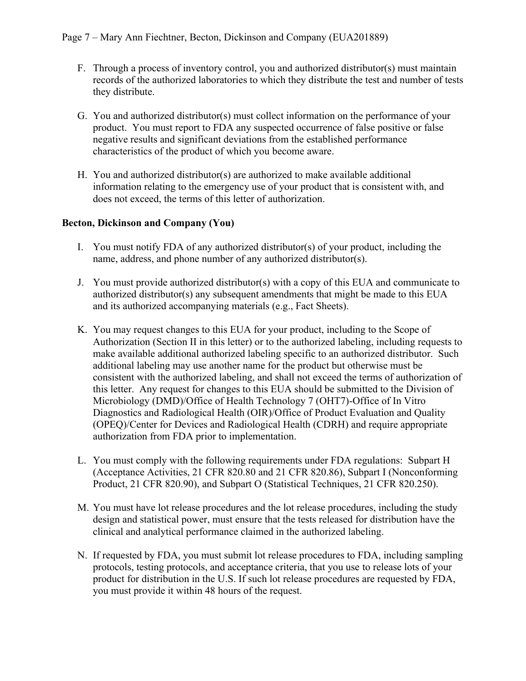- F. Through a process of inventory control, you and authorized distributor(s) must maintain records of the authorized laboratories to which they distribute the test and number of tests they distribute.
- G. You and authorized distributor(s) must collect information on the performance of your product. You must report to FDA any suspected occurrence of false positive or false negative results and significant deviations from the established performance characteristics of the product of which you become aware.
- H. You and authorized distributor(s) are authorized to make available additional information relating to the emergency use of your product that is consistent with, and does not exceed, the terms of this letter of authorization.

#### **Becton, Dickinson and Company (You)**

- I. You must notify FDA of any authorized distributor(s) of your product, including the name, address, and phone number of any authorized distributor(s).
- J. You must provide authorized distributor(s) with a copy of this EUA and communicate to authorized distributor(s) any subsequent amendments that might be made to this EUA and its authorized accompanying materials (e.g., Fact Sheets).
- K. You may request changes to this EUA for your product, including to the Scope of Authorization (Section II in this letter) or to the authorized labeling, including requests to make available additional authorized labeling specific to an authorized distributor. Such additional labeling may use another name for the product but otherwise must be consistent with the authorized labeling, and shall not exceed the terms of authorization of this letter. Any request for changes to this EUA should be submitted to the Division of Microbiology (DMD)/Office of Health Technology 7 (OHT7)-Office of In Vitro Diagnostics and Radiological Health (OIR)/Office of Product Evaluation and Quality (OPEQ)/Center for Devices and Radiological Health (CDRH) and require appropriate authorization from FDA prior to implementation.
- L. You must comply with the following requirements under FDA regulations: Subpart H (Acceptance Activities, 21 CFR 820.80 and 21 CFR 820.86), Subpart I (Nonconforming Product, 21 CFR 820.90), and Subpart O (Statistical Techniques, 21 CFR 820.250).
- M. You must have lot release procedures and the lot release procedures, including the study design and statistical power, must ensure that the tests released for distribution have the clinical and analytical performance claimed in the authorized labeling.
- N. If requested by FDA, you must submit lot release procedures to FDA, including sampling protocols, testing protocols, and acceptance criteria, that you use to release lots of your product for distribution in the U.S. If such lot release procedures are requested by FDA, you must provide it within 48 hours of the request.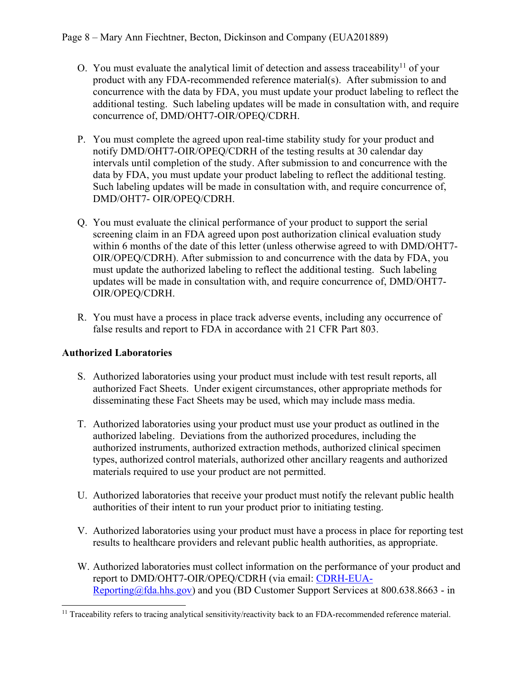- O. You must evaluate the analytical limit of detection and assess traceability<sup>[11](#page-7-0)</sup> of your product with any FDA-recommended reference material(s). After submission to and concurrence with the data by FDA, you must update your product labeling to reflect the additional testing. Such labeling updates will be made in consultation with, and require concurrence of, DMD/OHT7-OIR/OPEQ/CDRH.
- P. You must complete the agreed upon real-time stability study for your product and notify DMD/OHT7-OIR/OPEQ/CDRH of the testing results at 30 calendar day intervals until completion of the study. After submission to and concurrence with the data by FDA, you must update your product labeling to reflect the additional testing. Such labeling updates will be made in consultation with, and require concurrence of, DMD/OHT7- OIR/OPEQ/CDRH.
- Q. You must evaluate the clinical performance of your product to support the serial screening claim in an FDA agreed upon post authorization clinical evaluation study within 6 months of the date of this letter (unless otherwise agreed to with DMD/OHT7- OIR/OPEQ/CDRH). After submission to and concurrence with the data by FDA, you must update the authorized labeling to reflect the additional testing. Such labeling updates will be made in consultation with, and require concurrence of, DMD/OHT7- OIR/OPEQ/CDRH.
- R. You must have a process in place track adverse events, including any occurrence of false results and report to FDA in accordance with 21 CFR Part 803.

## **Authorized Laboratories**

- S. Authorized laboratories using your product must include with test result reports, all authorized Fact Sheets. Under exigent circumstances, other appropriate methods for disseminating these Fact Sheets may be used, which may include mass media.
- T. Authorized laboratories using your product must use your product as outlined in the authorized labeling. Deviations from the authorized procedures, including the authorized instruments, authorized extraction methods, authorized clinical specimen types, authorized control materials, authorized other ancillary reagents and authorized materials required to use your product are not permitted.
- U. Authorized laboratories that receive your product must notify the relevant public health authorities of their intent to run your product prior to initiating testing.
- V. Authorized laboratories using your product must have a process in place for reporting test results to healthcare providers and relevant public health authorities, as appropriate.
- W. Authorized laboratories must collect information on the performance of your product and report to DMD/OHT7-OIR/OPEQ/CDRH (via email: [CDRH-EUA-](mailto:CDRH-EUA-Reporting@fda.hhs.gov)[Reporting@fda.hhs.gov](mailto:CDRH-EUA-Reporting@fda.hhs.gov)) and you (BD Customer Support Services at 800.638.8663 - in

<span id="page-7-0"></span><sup>&</sup>lt;sup>11</sup> Traceability refers to tracing analytical sensitivity/reactivity back to an FDA-recommended reference material.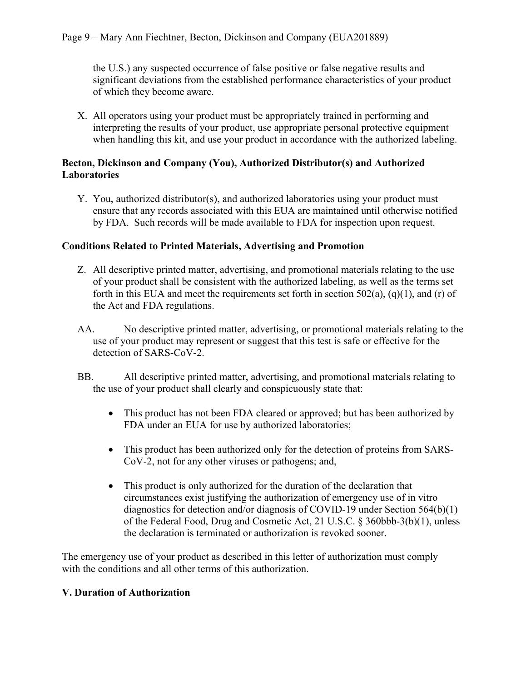the U.S.) any suspected occurrence of false positive or false negative results and significant deviations from the established performance characteristics of your product of which they become aware.

X. All operators using your product must be appropriately trained in performing and interpreting the results of your product, use appropriate personal protective equipment when handling this kit, and use your product in accordance with the authorized labeling.

#### **Becton, Dickinson and Company (You), Authorized Distributor(s) and Authorized Laboratories**

Y. You, authorized distributor(s), and authorized laboratories using your product must ensure that any records associated with this EUA are maintained until otherwise notified by FDA. Such records will be made available to FDA for inspection upon request.

#### **Conditions Related to Printed Materials, Advertising and Promotion**

- Z. All descriptive printed matter, advertising, and promotional materials relating to the use of your product shall be consistent with the authorized labeling, as well as the terms set forth in this EUA and meet the requirements set forth in section  $502(a)$ ,  $(q)(1)$ , and  $(r)$  of the Act and FDA regulations.
- AA. No descriptive printed matter, advertising, or promotional materials relating to the use of your product may represent or suggest that this test is safe or effective for the detection of SARS-CoV-2.
- BB. All descriptive printed matter, advertising, and promotional materials relating to the use of your product shall clearly and conspicuously state that:
	- This product has not been FDA cleared or approved; but has been authorized by FDA under an EUA for use by authorized laboratories;
	- · This product has been authorized only for the detection of proteins from SARS-CoV-2, not for any other viruses or pathogens; and,
	- This product is only authorized for the duration of the declaration that circumstances exist justifying the authorization of emergency use of in vitro diagnostics for detection and/or diagnosis of COVID-19 under Section 564(b)(1) of the Federal Food, Drug and Cosmetic Act, 21 U.S.C. § 360bbb-3(b)(1), unless the declaration is terminated or authorization is revoked sooner.

The emergency use of your product as described in this letter of authorization must comply with the conditions and all other terms of this authorization.

#### **V. Duration of Authorization**